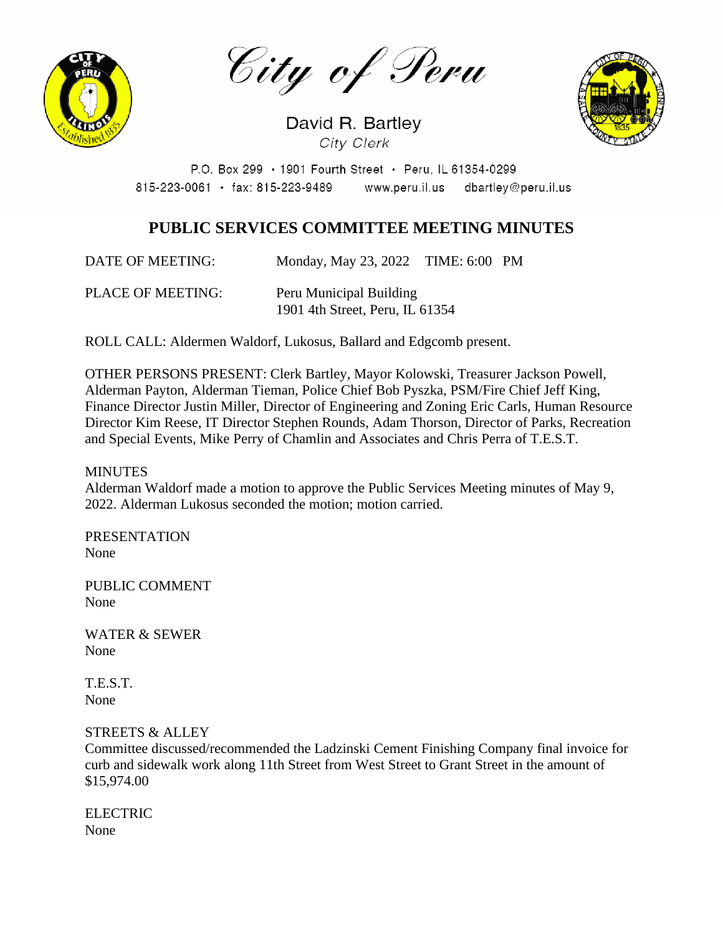

City of Peru

David R. Bartley City Clerk

P.O. Box 299 · 1901 Fourth Street · Peru, IL 61354-0299 www.peru.il.us dbartley@peru.il.us  $815 - 223 - 0061$  · fax: 815-223-9489

# **PUBLIC SERVICES COMMITTEE MEETING MINUTES**

DATE OF MEETING: Monday, May 23, 2022 TIME: 6:00 PM

PLACE OF MEETING: Peru Municipal Building 1901 4th Street, Peru, IL 61354

ROLL CALL: Aldermen Waldorf, Lukosus, Ballard and Edgcomb present.

OTHER PERSONS PRESENT: Clerk Bartley, Mayor Kolowski, Treasurer Jackson Powell, Alderman Payton, Alderman Tieman, Police Chief Bob Pyszka, PSM/Fire Chief Jeff King, Finance Director Justin Miller, Director of Engineering and Zoning Eric Carls, Human Resource Director Kim Reese, IT Director Stephen Rounds, Adam Thorson, Director of Parks, Recreation and Special Events, Mike Perry of Chamlin and Associates and Chris Perra of T.E.S.T.

#### **MINUTES**

Alderman Waldorf made a motion to approve the Public Services Meeting minutes of May 9, 2022. Alderman Lukosus seconded the motion; motion carried.

PRESENTATION None

PUBLIC COMMENT None

WATER & SEWER None

T.E.S.T. None

### STREETS & ALLEY

Committee discussed/recommended the Ladzinski Cement Finishing Company final invoice for curb and sidewalk work along 11th Street from West Street to Grant Street in the amount of \$15,974.00

**ELECTRIC** None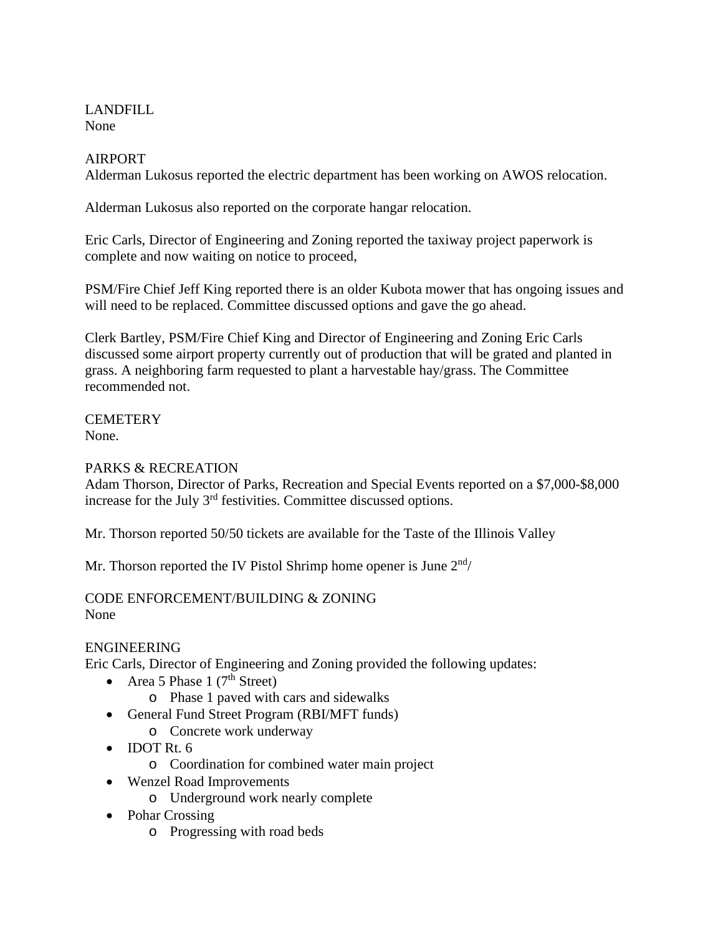LANDFILL None

# AIRPORT

Alderman Lukosus reported the electric department has been working on AWOS relocation.

Alderman Lukosus also reported on the corporate hangar relocation.

Eric Carls, Director of Engineering and Zoning reported the taxiway project paperwork is complete and now waiting on notice to proceed,

PSM/Fire Chief Jeff King reported there is an older Kubota mower that has ongoing issues and will need to be replaced. Committee discussed options and gave the go ahead.

Clerk Bartley, PSM/Fire Chief King and Director of Engineering and Zoning Eric Carls discussed some airport property currently out of production that will be grated and planted in grass. A neighboring farm requested to plant a harvestable hay/grass. The Committee recommended not.

**CEMETERY** None.

# PARKS & RECREATION

Adam Thorson, Director of Parks, Recreation and Special Events reported on a \$7,000-\$8,000 increase for the July 3rd festivities. Committee discussed options.

Mr. Thorson reported 50/50 tickets are available for the Taste of the Illinois Valley

Mr. Thorson reported the IV Pistol Shrimp home opener is June  $2<sup>nd</sup>/$ 

#### CODE ENFORCEMENT/BUILDING & ZONING None

### ENGINEERING

Eric Carls, Director of Engineering and Zoning provided the following updates:

- Area 5 Phase 1  $(7<sup>th</sup> Street)$ 
	- o Phase 1 paved with cars and sidewalks
- General Fund Street Program (RBI/MFT funds)
	- o Concrete work underway
- **IDOT Rt. 6** 
	- o Coordination for combined water main project
- Wenzel Road Improvements
	- o Underground work nearly complete
- Pohar Crossing
	- o Progressing with road beds